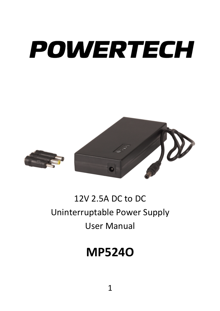# POWERTECH



# 12V 2.5A DC to DC Uninterruptable Power Supply User Manual

# **MP524O**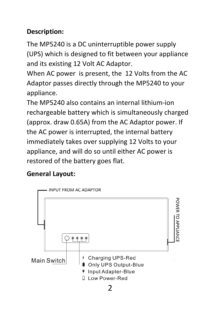## **Description:**

The MP5240 is a DC uninterruptible power supply (UPS) which is designed to fit between your appliance and its existing 12 Volt AC Adaptor.

When AC power is present, the 12 Volts from the AC Adaptor passes directly through the MP5240 to your appliance.

The MP5240 also contains an internal lithium-ion rechargeable battery which is simultaneously charged (approx. draw 0.65A) from the AC Adaptor power. If the AC power is interrupted, the internal battery immediately takes over supplying 12 Volts to your appliance, and will do so until either AC power is restored of the battery goes flat.

## **General Layout:**

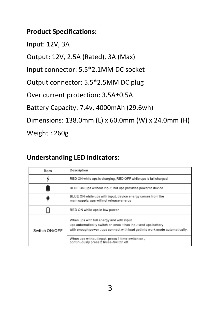#### **Product Specifications:**

Input: 12V, 3A

Output: 12V, 2.5A (Rated), 3A (Max)

Input connector: 5.5\*2.1MM DC socket

Output connector: 5.5\*2.5MM DC plug

Over current protection: 3.5A±0.5A

Battery Capacity: 7.4v, 4000mAh (29.6wh)

Dimensions: 138.0mm (L) x 60.0mm (W) x 24.0mm (H)

Weight : 260g

#### **Understanding LED indicators:**

| Item          | Description                                                                                                                                                                             |
|---------------|-----------------------------------------------------------------------------------------------------------------------------------------------------------------------------------------|
|               | RED ON while ups is charging, RED OFF while ups is full charged                                                                                                                         |
|               | BLUE ON ups without input, but ups provides power to device                                                                                                                             |
|               | BLUE ON while ups with input, device energy comes from the<br>main supply, ups will not release energy                                                                                  |
|               | RED ON while ups in low power                                                                                                                                                           |
| Switch ON/OFF | When ups with full energy and with input<br>ups automatically switch on once it has input and ups battery<br>with enough power, ups connect with load get into work mode automatically. |
|               | When ups without input, press 1 time-switch on ,<br>continuously press 2 times-Switch off.                                                                                              |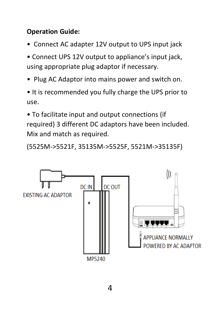### **Operation Guide:**

- Connect AC adapter 12V output to UPS input jack
- Connect UPS 12V output to appliance's input jack, using appropriate plug adaptor if necessary.
- Plug AC Adaptor into mains power and switch on.
- It is recommended you fully charge the UPS prior to use.

• To facilitate input and output connections (if required) 3 different DC adaptors have been included. Mix and match as required.

(5525M->5521F, 35135M->5525F, 5521M->35135F)

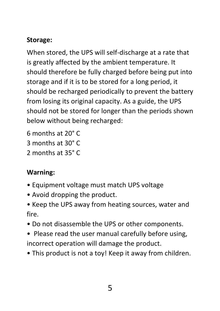## **Storage:**

When stored, the UPS will self-discharge at a rate that is greatly affected by the ambient temperature. It should therefore be fully charged before being put into storage and if it is to be stored for a long period, it should be recharged periodically to prevent the battery from losing its original capacity. As a guide, the UPS should not be stored for longer than the periods shown below without being recharged:

6 months at 20° C 3 months at 30° C 2 months at 35° C

# **Warning:**

- Equipment voltage must match UPS voltage
- Avoid dropping the product.
- Keep the UPS away from heating sources, water and fire.
- Do not disassemble the UPS or other components.
- Please read the user manual carefully before using, incorrect operation will damage the product.
- This product is not a toy! Keep it away from children.